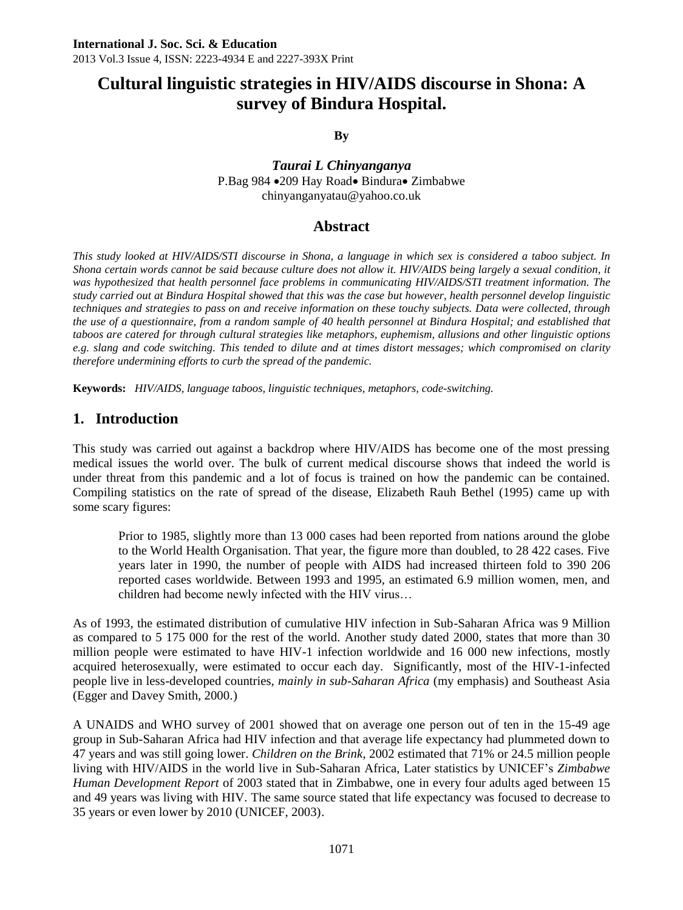# **Cultural linguistic strategies in HIV/AIDS discourse in Shona: A survey of Bindura Hospital.**

**By**

*Taurai L Chinyanganya* P.Bag 984 • 209 Hay Road • Bindura • Zimbabwe [chinyanganyatau@yahoo.co.uk](mailto:chinyanganyatau@yahoo.co.uk)

### **Abstract**

*This study looked at HIV/AIDS/STI discourse in Shona, a language in which sex is considered a taboo subject. In Shona certain words cannot be said because culture does not allow it. HIV/AIDS being largely a sexual condition, it was hypothesized that health personnel face problems in communicating HIV/AIDS/STI treatment information. The study carried out at Bindura Hospital showed that this was the case but however, health personnel develop linguistic techniques and strategies to pass on and receive information on these touchy subjects. Data were collected, through the use of a questionnaire, from a random sample of 40 health personnel at Bindura Hospital; and established that taboos are catered for through cultural strategies like metaphors, euphemism, allusions and other linguistic options e.g. slang and code switching. This tended to dilute and at times distort messages; which compromised on clarity therefore undermining efforts to curb the spread of the pandemic.* 

**Keywords:** *HIV/AIDS, language taboos, linguistic techniques, metaphors, code-switching.*

## **1. Introduction**

This study was carried out against a backdrop where HIV/AIDS has become one of the most pressing medical issues the world over. The bulk of current medical discourse shows that indeed the world is under threat from this pandemic and a lot of focus is trained on how the pandemic can be contained. Compiling statistics on the rate of spread of the disease, Elizabeth Rauh Bethel (1995) came up with some scary figures:

Prior to 1985, slightly more than 13 000 cases had been reported from nations around the globe to the World Health Organisation. That year, the figure more than doubled, to 28 422 cases. Five years later in 1990, the number of people with AIDS had increased thirteen fold to 390 206 reported cases worldwide. Between 1993 and 1995, an estimated 6.9 million women, men, and children had become newly infected with the HIV virus…

As of 1993, the estimated distribution of cumulative HIV infection in Sub-Saharan Africa was 9 Million as compared to 5 175 000 for the rest of the world. Another study dated 2000, states that more than 30 million people were estimated to have HIV-1 infection worldwide and 16 000 new infections, mostly acquired heterosexually, were estimated to occur each day. Significantly, most of the HIV-1-infected people live in less-developed countries, *mainly in sub-Saharan Africa* (my emphasis) and Southeast Asia (Egger and Davey Smith, 2000.)

A UNAIDS and WHO survey of 2001 showed that on average one person out of ten in the 15-49 age group in Sub-Saharan Africa had HIV infection and that average life expectancy had plummeted down to 47 years and was still going lower. *Children on the Brink*, 2002 estimated that 71% or 24.5 million people living with HIV/AIDS in the world live in Sub-Saharan Africa, Later statistics by UNICEF's *Zimbabwe Human Development Report* of 2003 stated that in Zimbabwe, one in every four adults aged between 15 and 49 years was living with HIV. The same source stated that life expectancy was focused to decrease to 35 years or even lower by 2010 (UNICEF, 2003).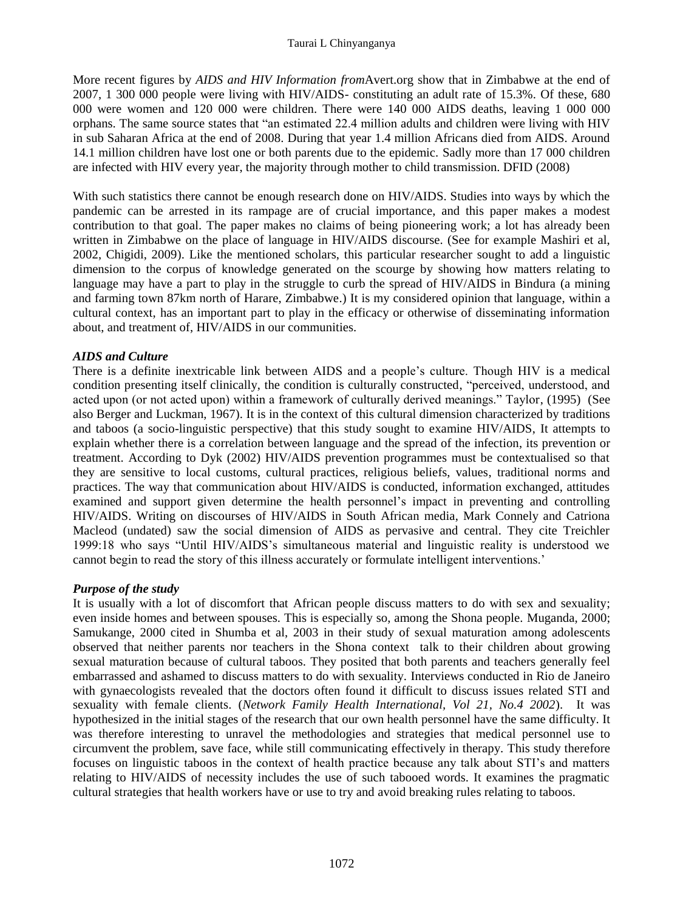More recent figures by *AIDS and HIV Information from*Avert.org show that in Zimbabwe at the end of 2007, 1 300 000 people were living with HIV/AIDS- constituting an adult rate of 15.3%. Of these, 680 000 were women and 120 000 were children. There were 140 000 AIDS deaths, leaving 1 000 000 orphans. The same source states that "an estimated 22.4 million adults and children were living with HIV in sub Saharan Africa at the end of 2008. During that year 1.4 million Africans died from AIDS. Around 14.1 million children have lost one or both parents due to the epidemic. Sadly more than 17 000 children are infected with HIV every year, the majority through mother to child transmission. DFID (2008)

With such statistics there cannot be enough research done on HIV/AIDS. Studies into ways by which the pandemic can be arrested in its rampage are of crucial importance, and this paper makes a modest contribution to that goal. The paper makes no claims of being pioneering work; a lot has already been written in Zimbabwe on the place of language in HIV/AIDS discourse. (See for example Mashiri et al, 2002, Chigidi, 2009). Like the mentioned scholars, this particular researcher sought to add a linguistic dimension to the corpus of knowledge generated on the scourge by showing how matters relating to language may have a part to play in the struggle to curb the spread of HIV/AIDS in Bindura (a mining and farming town 87km north of Harare, Zimbabwe.) It is my considered opinion that language, within a cultural context, has an important part to play in the efficacy or otherwise of disseminating information about, and treatment of, HIV/AIDS in our communities.

### *AIDS and Culture*

There is a definite inextricable link between AIDS and a people's culture. Though HIV is a medical condition presenting itself clinically, the condition is culturally constructed, "perceived, understood, and acted upon (or not acted upon) within a framework of culturally derived meanings." Taylor, (1995) (See also Berger and Luckman, 1967). It is in the context of this cultural dimension characterized by traditions and taboos (a socio-linguistic perspective) that this study sought to examine HIV/AIDS, It attempts to explain whether there is a correlation between language and the spread of the infection, its prevention or treatment. According to Dyk (2002) HIV/AIDS prevention programmes must be contextualised so that they are sensitive to local customs, cultural practices, religious beliefs, values, traditional norms and practices. The way that communication about HIV/AIDS is conducted, information exchanged, attitudes examined and support given determine the health personnel's impact in preventing and controlling HIV/AIDS. Writing on discourses of HIV/AIDS in South African media, Mark Connely and Catriona Macleod (undated) saw the social dimension of AIDS as pervasive and central. They cite Treichler 1999:18 who says "Until HIV/AIDS's simultaneous material and linguistic reality is understood we cannot begin to read the story of this illness accurately or formulate intelligent interventions.'

#### *Purpose of the study*

It is usually with a lot of discomfort that African people discuss matters to do with sex and sexuality; even inside homes and between spouses. This is especially so, among the Shona people. Muganda, 2000; Samukange, 2000 cited in Shumba et al, 2003 in their study of sexual maturation among adolescents observed that neither parents nor teachers in the Shona context talk to their children about growing sexual maturation because of cultural taboos. They posited that both parents and teachers generally feel embarrassed and ashamed to discuss matters to do with sexuality. Interviews conducted in Rio de Janeiro with gynaecologists revealed that the doctors often found it difficult to discuss issues related STI and sexuality with female clients. (*Network Family Health International, Vol 21, No.4 2002*). It was hypothesized in the initial stages of the research that our own health personnel have the same difficulty. It was therefore interesting to unravel the methodologies and strategies that medical personnel use to circumvent the problem, save face, while still communicating effectively in therapy. This study therefore focuses on linguistic taboos in the context of health practice because any talk about STI's and matters relating to HIV/AIDS of necessity includes the use of such tabooed words. It examines the pragmatic cultural strategies that health workers have or use to try and avoid breaking rules relating to taboos.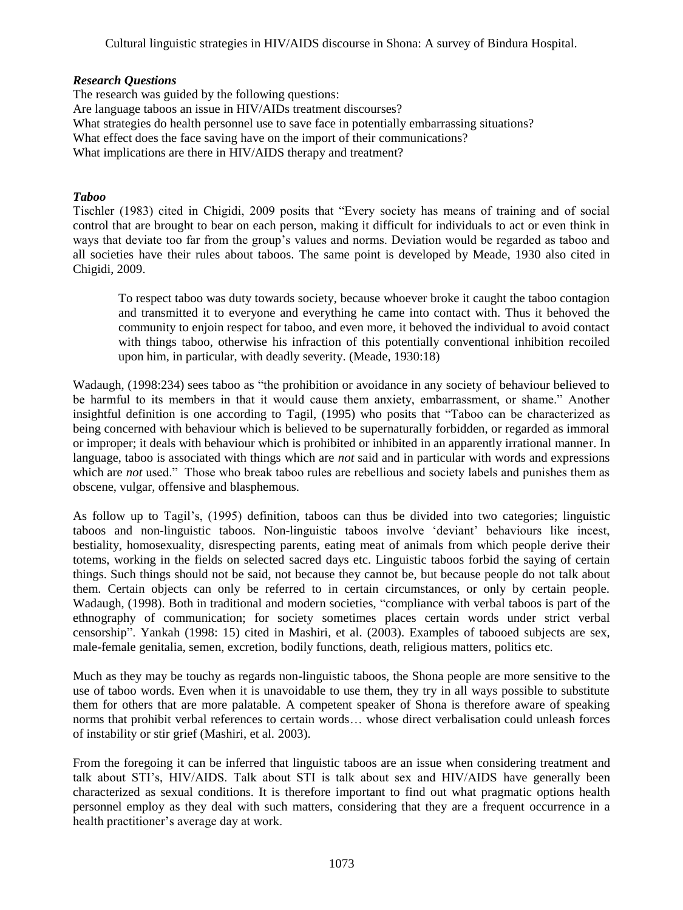Cultural linguistic strategies in HIV/AIDS discourse in Shona: A survey of Bindura Hospital.

#### *Research Questions*

The research was guided by the following questions: Are language taboos an issue in HIV/AIDs treatment discourses? What strategies do health personnel use to save face in potentially embarrassing situations? What effect does the face saving have on the import of their communications? What implications are there in HIV/AIDS therapy and treatment?

#### *Taboo*

Tischler (1983) cited in Chigidi, 2009 posits that "Every society has means of training and of social control that are brought to bear on each person, making it difficult for individuals to act or even think in ways that deviate too far from the group's values and norms. Deviation would be regarded as taboo and all societies have their rules about taboos. The same point is developed by Meade, 1930 also cited in Chigidi, 2009.

To respect taboo was duty towards society, because whoever broke it caught the taboo contagion and transmitted it to everyone and everything he came into contact with. Thus it behoved the community to enjoin respect for taboo, and even more, it behoved the individual to avoid contact with things taboo, otherwise his infraction of this potentially conventional inhibition recoiled upon him, in particular, with deadly severity. (Meade, 1930:18)

Wadaugh, (1998:234) sees taboo as "the prohibition or avoidance in any society of behaviour believed to be harmful to its members in that it would cause them anxiety, embarrassment, or shame." Another insightful definition is one according to Tagil, (1995) who posits that "Taboo can be characterized as being concerned with behaviour which is believed to be supernaturally forbidden, or regarded as immoral or improper; it deals with behaviour which is prohibited or inhibited in an apparently irrational manner. In language, taboo is associated with things which are *not* said and in particular with words and expressions which are *not* used." Those who break taboo rules are rebellious and society labels and punishes them as obscene, vulgar, offensive and blasphemous.

As follow up to Tagil's, (1995) definition, taboos can thus be divided into two categories; linguistic taboos and non-linguistic taboos. Non-linguistic taboos involve 'deviant' behaviours like incest, bestiality, homosexuality, disrespecting parents, eating meat of animals from which people derive their totems, working in the fields on selected sacred days etc. Linguistic taboos forbid the saying of certain things. Such things should not be said, not because they cannot be, but because people do not talk about them. Certain objects can only be referred to in certain circumstances, or only by certain people. Wadaugh, (1998). Both in traditional and modern societies, "compliance with verbal taboos is part of the ethnography of communication; for society sometimes places certain words under strict verbal censorship". Yankah (1998: 15) cited in Mashiri, et al. (2003). Examples of tabooed subjects are sex, male-female genitalia, semen, excretion, bodily functions, death, religious matters, politics etc.

Much as they may be touchy as regards non-linguistic taboos, the Shona people are more sensitive to the use of taboo words. Even when it is unavoidable to use them, they try in all ways possible to substitute them for others that are more palatable. A competent speaker of Shona is therefore aware of speaking norms that prohibit verbal references to certain words… whose direct verbalisation could unleash forces of instability or stir grief (Mashiri, et al. 2003).

From the foregoing it can be inferred that linguistic taboos are an issue when considering treatment and talk about STI's, HIV/AIDS. Talk about STI is talk about sex and HIV/AIDS have generally been characterized as sexual conditions. It is therefore important to find out what pragmatic options health personnel employ as they deal with such matters, considering that they are a frequent occurrence in a health practitioner's average day at work.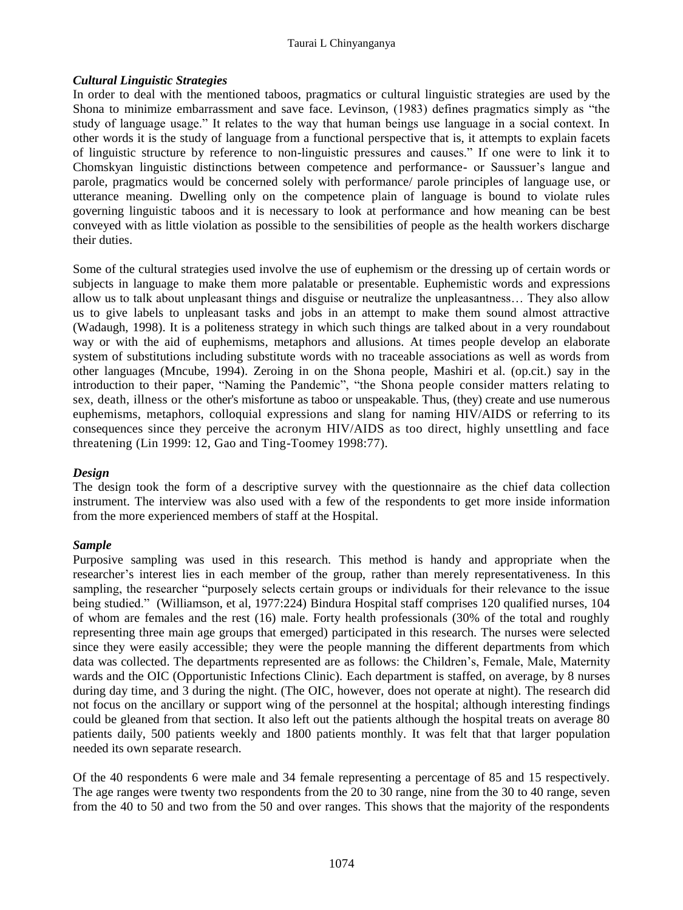#### Taurai L Chinyanganya

#### *Cultural Linguistic Strategies*

In order to deal with the mentioned taboos, pragmatics or cultural linguistic strategies are used by the Shona to minimize embarrassment and save face. Levinson, (1983) defines pragmatics simply as "the study of language usage." It relates to the way that human beings use language in a social context. In other words it is the study of language from a functional perspective that is, it attempts to explain facets of linguistic structure by reference to non-linguistic pressures and causes." If one were to link it to Chomskyan linguistic distinctions between competence and performance- or Saussuer's langue and parole, pragmatics would be concerned solely with performance/ parole principles of language use, or utterance meaning. Dwelling only on the competence plain of language is bound to violate rules governing linguistic taboos and it is necessary to look at performance and how meaning can be best conveyed with as little violation as possible to the sensibilities of people as the health workers discharge their duties.

Some of the cultural strategies used involve the use of euphemism or the dressing up of certain words or subjects in language to make them more palatable or presentable. Euphemistic words and expressions allow us to talk about unpleasant things and disguise or neutralize the unpleasantness… They also allow us to give labels to unpleasant tasks and jobs in an attempt to make them sound almost attractive (Wadaugh, 1998). It is a politeness strategy in which such things are talked about in a very roundabout way or with the aid of euphemisms, metaphors and allusions. At times people develop an elaborate system of substitutions including substitute words with no traceable associations as well as words from other languages (Mncube, 1994). Zeroing in on the Shona people, Mashiri et al. (op.cit.) say in the introduction to their paper, "Naming the Pandemic", "the Shona people consider matters relating to sex, death, illness or the other's misfortune as taboo or unspeakable. Thus, (they) create and use numerous euphemisms, metaphors, colloquial expressions and slang for naming HIV/AIDS or referring to its consequences since they perceive the acronym HIV/AIDS as too direct, highly unsettling and face threatening (Lin 1999: 12, Gao and Ting-Toomey 1998:77).

#### *Design*

The design took the form of a descriptive survey with the questionnaire as the chief data collection instrument. The interview was also used with a few of the respondents to get more inside information from the more experienced members of staff at the Hospital.

#### *Sample*

Purposive sampling was used in this research. This method is handy and appropriate when the researcher's interest lies in each member of the group, rather than merely representativeness. In this sampling, the researcher "purposely selects certain groups or individuals for their relevance to the issue being studied." (Williamson, et al, 1977:224) Bindura Hospital staff comprises 120 qualified nurses, 104 of whom are females and the rest (16) male. Forty health professionals (30% of the total and roughly representing three main age groups that emerged) participated in this research. The nurses were selected since they were easily accessible; they were the people manning the different departments from which data was collected. The departments represented are as follows: the Children's, Female, Male, Maternity wards and the OIC (Opportunistic Infections Clinic). Each department is staffed, on average, by 8 nurses during day time, and 3 during the night. (The OIC, however, does not operate at night). The research did not focus on the ancillary or support wing of the personnel at the hospital; although interesting findings could be gleaned from that section. It also left out the patients although the hospital treats on average 80 patients daily, 500 patients weekly and 1800 patients monthly. It was felt that that larger population needed its own separate research.

Of the 40 respondents 6 were male and 34 female representing a percentage of 85 and 15 respectively. The age ranges were twenty two respondents from the 20 to 30 range, nine from the 30 to 40 range, seven from the 40 to 50 and two from the 50 and over ranges. This shows that the majority of the respondents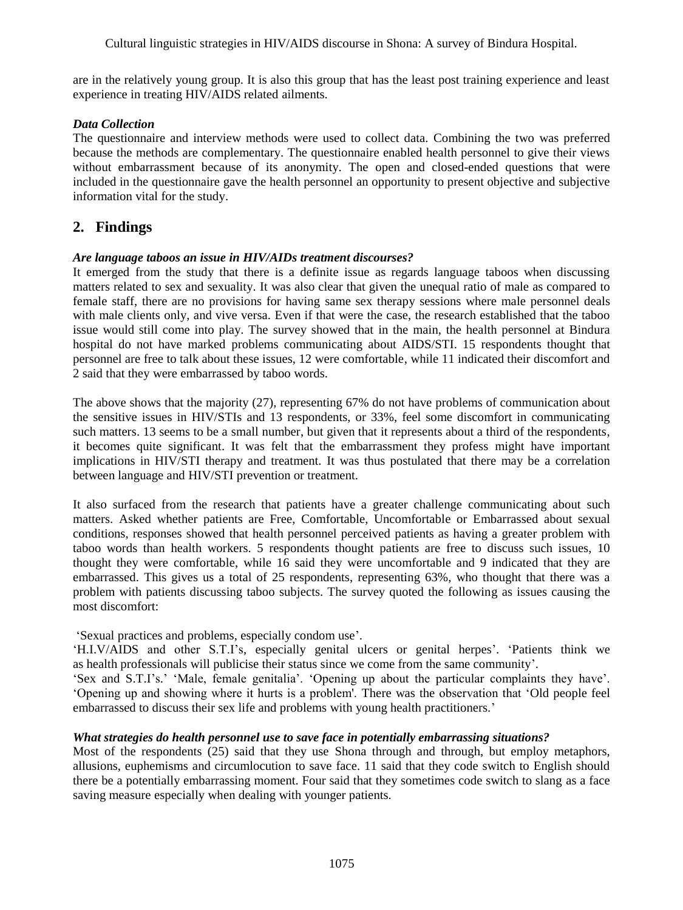are in the relatively young group. It is also this group that has the least post training experience and least experience in treating HIV/AIDS related ailments.

#### *Data Collection*

The questionnaire and interview methods were used to collect data. Combining the two was preferred because the methods are complementary. The questionnaire enabled health personnel to give their views without embarrassment because of its anonymity. The open and closed-ended questions that were included in the questionnaire gave the health personnel an opportunity to present objective and subjective information vital for the study.

### **2. Findings**

#### *Are language taboos an issue in HIV/AIDs treatment discourses?*

It emerged from the study that there is a definite issue as regards language taboos when discussing matters related to sex and sexuality. It was also clear that given the unequal ratio of male as compared to female staff, there are no provisions for having same sex therapy sessions where male personnel deals with male clients only, and vive versa. Even if that were the case, the research established that the taboo issue would still come into play. The survey showed that in the main, the health personnel at Bindura hospital do not have marked problems communicating about AIDS/STI. 15 respondents thought that personnel are free to talk about these issues, 12 were comfortable, while 11 indicated their discomfort and 2 said that they were embarrassed by taboo words.

The above shows that the majority (27), representing 67% do not have problems of communication about the sensitive issues in HIV/STIs and 13 respondents, or 33%, feel some discomfort in communicating such matters. 13 seems to be a small number, but given that it represents about a third of the respondents, it becomes quite significant. It was felt that the embarrassment they profess might have important implications in HIV/STI therapy and treatment. It was thus postulated that there may be a correlation between language and HIV/STI prevention or treatment.

It also surfaced from the research that patients have a greater challenge communicating about such matters. Asked whether patients are Free, Comfortable, Uncomfortable or Embarrassed about sexual conditions, responses showed that health personnel perceived patients as having a greater problem with taboo words than health workers. 5 respondents thought patients are free to discuss such issues, 10 thought they were comfortable, while 16 said they were uncomfortable and 9 indicated that they are embarrassed. This gives us a total of 25 respondents, representing 63%, who thought that there was a problem with patients discussing taboo subjects. The survey quoted the following as issues causing the most discomfort:

'Sexual practices and problems, especially condom use'.

'H.I.V/AIDS and other S.T.I's, especially genital ulcers or genital herpes'. 'Patients think we as health professionals will publicise their status since we come from the same community'.

'Sex and S.T.I's.' 'Male, female genitalia'. 'Opening up about the particular complaints they have'. 'Opening up and showing where it hurts is a problem'. There was the observation that 'Old people feel embarrassed to discuss their sex life and problems with young health practitioners.'

#### *What strategies do health personnel use to save face in potentially embarrassing situations?*

Most of the respondents (25) said that they use Shona through and through, but employ metaphors, allusions, euphemisms and circumlocution to save face. 11 said that they code switch to English should there be a potentially embarrassing moment. Four said that they sometimes code switch to slang as a face saving measure especially when dealing with younger patients.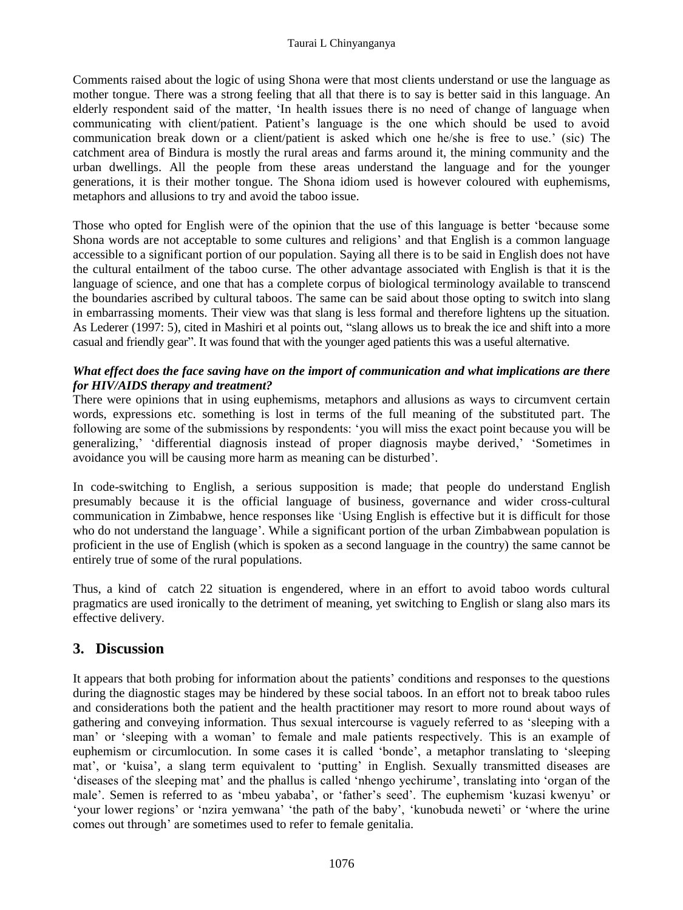Comments raised about the logic of using Shona were that most clients understand or use the language as mother tongue. There was a strong feeling that all that there is to say is better said in this language. An elderly respondent said of the matter, 'In health issues there is no need of change of language when communicating with client/patient. Patient's language is the one which should be used to avoid communication break down or a client/patient is asked which one he/she is free to use.' (sic) The catchment area of Bindura is mostly the rural areas and farms around it, the mining community and the urban dwellings. All the people from these areas understand the language and for the younger generations, it is their mother tongue. The Shona idiom used is however coloured with euphemisms, metaphors and allusions to try and avoid the taboo issue.

Those who opted for English were of the opinion that the use of this language is better 'because some Shona words are not acceptable to some cultures and religions' and that English is a common language accessible to a significant portion of our population. Saying all there is to be said in English does not have the cultural entailment of the taboo curse. The other advantage associated with English is that it is the language of science, and one that has a complete corpus of biological terminology available to transcend the boundaries ascribed by cultural taboos. The same can be said about those opting to switch into slang in embarrassing moments. Their view was that slang is less formal and therefore lightens up the situation. As Lederer (1997: 5), cited in Mashiri et al points out, "slang allows us to break the ice and shift into a more casual and friendly gear". It was found that with the younger aged patients this was a useful alternative.

#### *What effect does the face saving have on the import of communication and what implications are there for HIV/AIDS therapy and treatment?*

There were opinions that in using euphemisms, metaphors and allusions as ways to circumvent certain words, expressions etc. something is lost in terms of the full meaning of the substituted part. The following are some of the submissions by respondents: 'you will miss the exact point because you will be generalizing,' 'differential diagnosis instead of proper diagnosis maybe derived,' 'Sometimes in avoidance you will be causing more harm as meaning can be disturbed'.

In code-switching to English, a serious supposition is made; that people do understand English presumably because it is the official language of business, governance and wider cross-cultural communication in Zimbabwe, hence responses like 'Using English is effective but it is difficult for those who do not understand the language'. While a significant portion of the urban Zimbabwean population is proficient in the use of English (which is spoken as a second language in the country) the same cannot be entirely true of some of the rural populations.

Thus, a kind of catch 22 situation is engendered, where in an effort to avoid taboo words cultural pragmatics are used ironically to the detriment of meaning, yet switching to English or slang also mars its effective delivery.

### **3. Discussion**

It appears that both probing for information about the patients' conditions and responses to the questions during the diagnostic stages may be hindered by these social taboos. In an effort not to break taboo rules and considerations both the patient and the health practitioner may resort to more round about ways of gathering and conveying information. Thus sexual intercourse is vaguely referred to as 'sleeping with a man' or 'sleeping with a woman' to female and male patients respectively. This is an example of euphemism or circumlocution. In some cases it is called 'bonde', a metaphor translating to 'sleeping mat', or 'kuisa', a slang term equivalent to 'putting' in English. Sexually transmitted diseases are 'diseases of the sleeping mat' and the phallus is called 'nhengo yechirume', translating into 'organ of the male'. Semen is referred to as 'mbeu yababa', or 'father's seed'. The euphemism 'kuzasi kwenyu' or 'your lower regions' or 'nzira yemwana' 'the path of the baby', 'kunobuda neweti' or 'where the urine comes out through' are sometimes used to refer to female genitalia.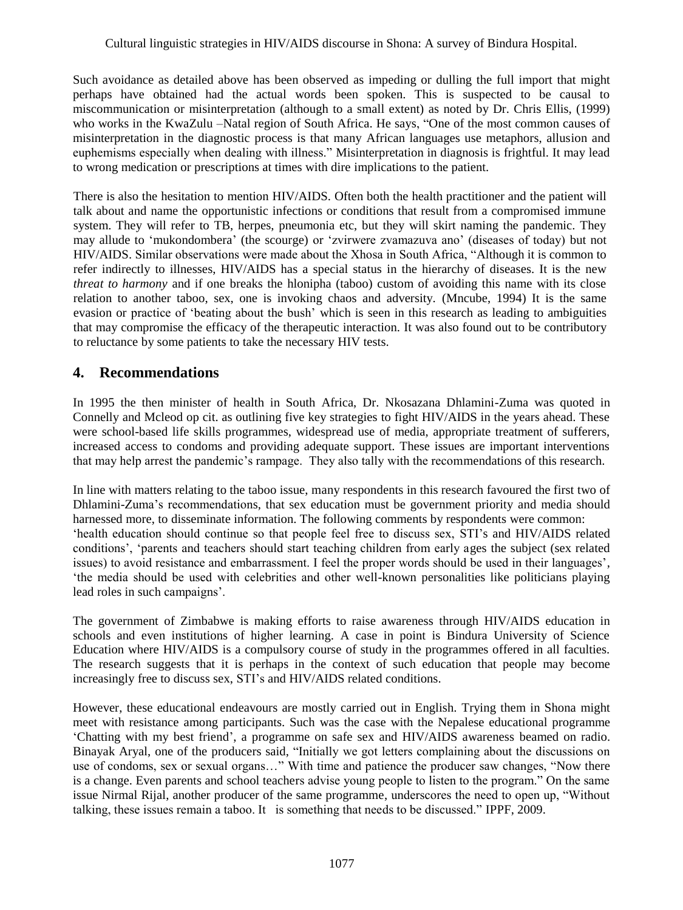Such avoidance as detailed above has been observed as impeding or dulling the full import that might perhaps have obtained had the actual words been spoken. This is suspected to be causal to miscommunication or misinterpretation (although to a small extent) as noted by Dr. Chris Ellis, (1999) who works in the KwaZulu –Natal region of South Africa. He says, "One of the most common causes of misinterpretation in the diagnostic process is that many African languages use metaphors, allusion and euphemisms especially when dealing with illness." Misinterpretation in diagnosis is frightful. It may lead to wrong medication or prescriptions at times with dire implications to the patient.

There is also the hesitation to mention HIV/AIDS. Often both the health practitioner and the patient will talk about and name the opportunistic infections or conditions that result from a compromised immune system. They will refer to TB, herpes, pneumonia etc, but they will skirt naming the pandemic. They may allude to 'mukondombera' (the scourge) or 'zvirwere zvamazuva ano' (diseases of today) but not HIV/AIDS. Similar observations were made about the Xhosa in South Africa, "Although it is common to refer indirectly to illnesses, HIV/AIDS has a special status in the hierarchy of diseases. It is the new *threat to harmony* and if one breaks the hlonipha (taboo) custom of avoiding this name with its close relation to another taboo, sex, one is invoking chaos and adversity. (Mncube, 1994) It is the same evasion or practice of 'beating about the bush' which is seen in this research as leading to ambiguities that may compromise the efficacy of the therapeutic interaction. It was also found out to be contributory to reluctance by some patients to take the necessary HIV tests.

## **4. Recommendations**

In 1995 the then minister of health in South Africa, Dr. Nkosazana Dhlamini-Zuma was quoted in Connelly and Mcleod op cit. as outlining five key strategies to fight HIV/AIDS in the years ahead. These were school-based life skills programmes, widespread use of media, appropriate treatment of sufferers, increased access to condoms and providing adequate support. These issues are important interventions that may help arrest the pandemic's rampage. They also tally with the recommendations of this research.

In line with matters relating to the taboo issue, many respondents in this research favoured the first two of Dhlamini-Zuma's recommendations, that sex education must be government priority and media should harnessed more, to disseminate information. The following comments by respondents were common: 'health education should continue so that people feel free to discuss sex, STI's and HIV/AIDS related conditions', 'parents and teachers should start teaching children from early ages the subject (sex related issues) to avoid resistance and embarrassment. I feel the proper words should be used in their languages', 'the media should be used with celebrities and other well-known personalities like politicians playing lead roles in such campaigns'.

The government of Zimbabwe is making efforts to raise awareness through HIV/AIDS education in schools and even institutions of higher learning. A case in point is Bindura University of Science Education where HIV/AIDS is a compulsory course of study in the programmes offered in all faculties. The research suggests that it is perhaps in the context of such education that people may become increasingly free to discuss sex, STI's and HIV/AIDS related conditions.

However, these educational endeavours are mostly carried out in English. Trying them in Shona might meet with resistance among participants. Such was the case with the Nepalese educational programme 'Chatting with my best friend', a programme on safe sex and HIV/AIDS awareness beamed on radio. Binayak Aryal, one of the producers said, "Initially we got letters complaining about the discussions on use of condoms, sex or sexual organs…" With time and patience the producer saw changes, "Now there is a change. Even parents and school teachers advise young people to listen to the program." On the same issue Nirmal Rijal, another producer of the same programme, underscores the need to open up, "Without talking, these issues remain a taboo. It is something that needs to be discussed." IPPF, 2009.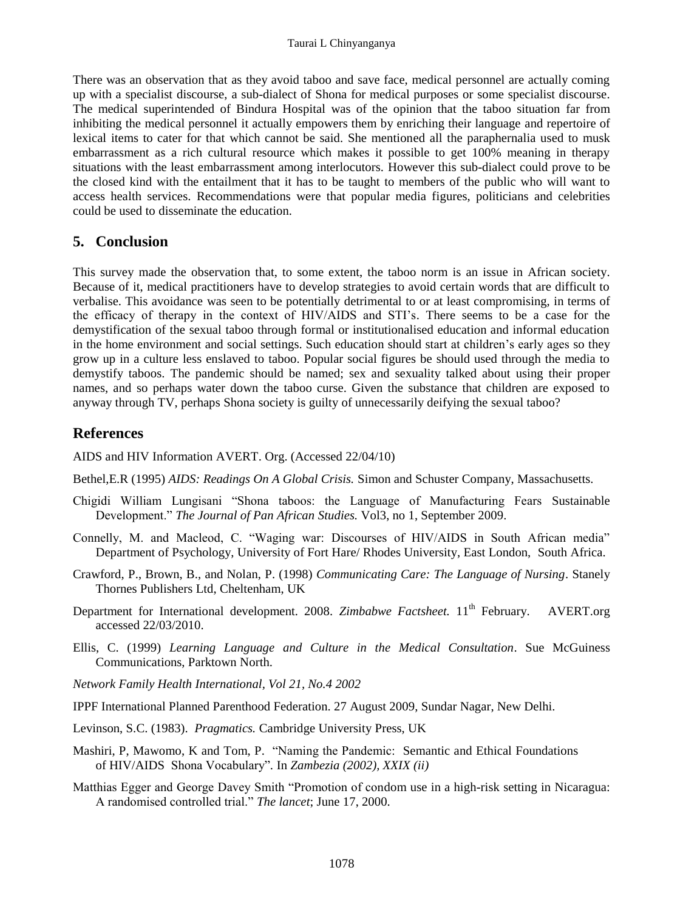There was an observation that as they avoid taboo and save face, medical personnel are actually coming up with a specialist discourse, a sub-dialect of Shona for medical purposes or some specialist discourse. The medical superintended of Bindura Hospital was of the opinion that the taboo situation far from inhibiting the medical personnel it actually empowers them by enriching their language and repertoire of lexical items to cater for that which cannot be said. She mentioned all the paraphernalia used to musk embarrassment as a rich cultural resource which makes it possible to get 100% meaning in therapy situations with the least embarrassment among interlocutors. However this sub-dialect could prove to be the closed kind with the entailment that it has to be taught to members of the public who will want to access health services. Recommendations were that popular media figures, politicians and celebrities could be used to disseminate the education.

### **5. Conclusion**

This survey made the observation that, to some extent, the taboo norm is an issue in African society. Because of it, medical practitioners have to develop strategies to avoid certain words that are difficult to verbalise. This avoidance was seen to be potentially detrimental to or at least compromising, in terms of the efficacy of therapy in the context of HIV/AIDS and STI's. There seems to be a case for the demystification of the sexual taboo through formal or institutionalised education and informal education in the home environment and social settings. Such education should start at children's early ages so they grow up in a culture less enslaved to taboo. Popular social figures be should used through the media to demystify taboos. The pandemic should be named; sex and sexuality talked about using their proper names, and so perhaps water down the taboo curse. Given the substance that children are exposed to anyway through TV, perhaps Shona society is guilty of unnecessarily deifying the sexual taboo?

## **References**

AIDS and HIV Information AVERT. Org. (Accessed 22/04/10)

- Bethel,E.R (1995) *AIDS: Readings On A Global Crisis.* Simon and Schuster Company, Massachusetts.
- Chigidi William Lungisani "Shona taboos: the Language of Manufacturing Fears Sustainable Development." *The Journal of Pan African Studies.* Vol3, no 1, September 2009.
- Connelly, M. and Macleod, C. "Waging war: Discourses of HIV/AIDS in South African media" Department of Psychology, University of Fort Hare/ Rhodes University, East London, South Africa.
- Crawford, P., Brown, B., and Nolan, P. (1998) *Communicating Care: The Language of Nursing*. Stanely Thornes Publishers Ltd, Cheltenham, UK
- Department for International development. 2008. *Zimbabwe Factsheet*. 11<sup>th</sup> February. AVERT.org accessed 22/03/2010.
- Ellis, C. (1999) *Learning Language and Culture in the Medical Consultation*. Sue McGuiness Communications, Parktown North.
- *Network Family Health International, Vol 21, No.4 2002*
- IPPF International Planned Parenthood Federation. 27 August 2009, Sundar Nagar, New Delhi.
- Levinson, S.C. (1983). *Pragmatics.* Cambridge University Press, UK
- Mashiri, P, Mawomo, K and Tom, P. "Naming the Pandemic: Semantic and Ethical Foundations of HIV/AIDS Shona Vocabulary"*.* In *Zambezia (2002), XXIX (ii)*
- Matthias Egger and George Davey Smith "Promotion of condom use in a high-risk setting in Nicaragua: A randomised controlled trial." *The lancet*; June 17, 2000.